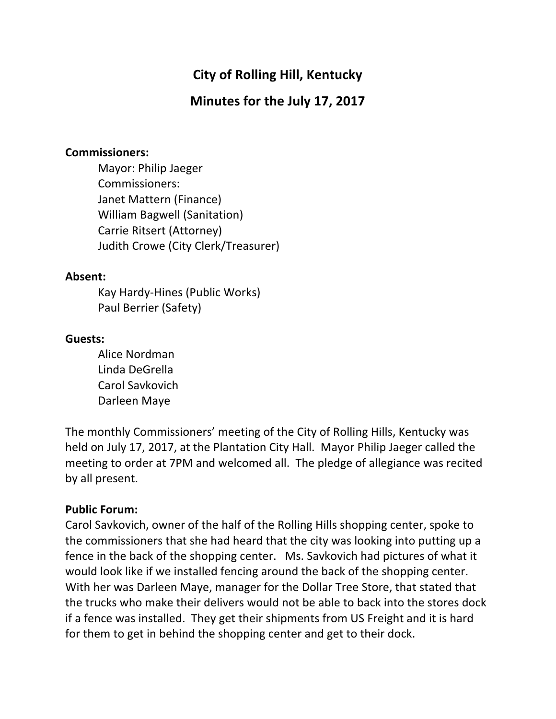# **City of Rolling Hill, Kentucky**

## **Minutes for the July 17, 2017**

#### **Commissioners:**

Mayor: Philip Jaeger Commissioners: Janet Mattern (Finance) William Bagwell (Sanitation) Carrie Ritsert (Attorney) Judith Crowe (City Clerk/Treasurer)

#### **Absent:**

Kay Hardy-Hines (Public Works) Paul Berrier (Safety)

#### **Guests:**

Alice Nordman Linda DeGrella Carol Savkovich Darleen Maye

The monthly Commissioners' meeting of the City of Rolling Hills, Kentucky was held on July 17, 2017, at the Plantation City Hall. Mayor Philip Jaeger called the meeting to order at 7PM and welcomed all. The pledge of allegiance was recited by all present.

### **Public Forum:**

Carol Savkovich, owner of the half of the Rolling Hills shopping center, spoke to the commissioners that she had heard that the city was looking into putting up a fence in the back of the shopping center. Ms. Savkovich had pictures of what it would look like if we installed fencing around the back of the shopping center. With her was Darleen Maye, manager for the Dollar Tree Store, that stated that the trucks who make their delivers would not be able to back into the stores dock if a fence was installed. They get their shipments from US Freight and it is hard for them to get in behind the shopping center and get to their dock.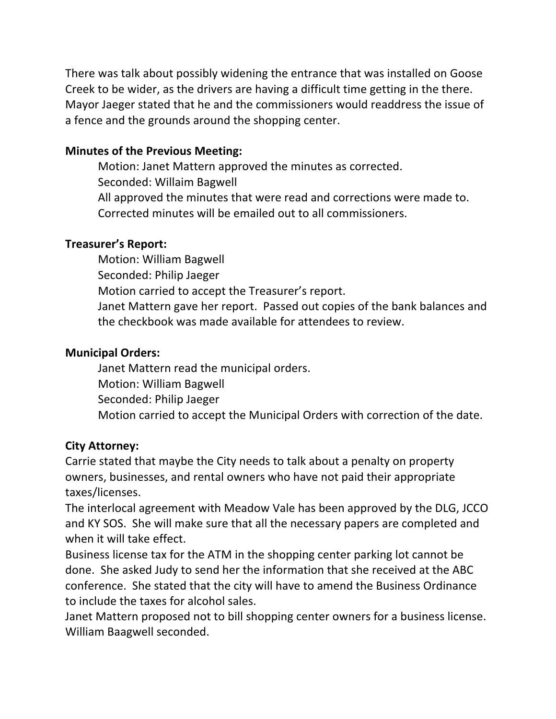There was talk about possibly widening the entrance that was installed on Goose Creek to be wider, as the drivers are having a difficult time getting in the there. Mayor Jaeger stated that he and the commissioners would readdress the issue of a fence and the grounds around the shopping center.

## **Minutes of the Previous Meeting:**

Motion: Janet Mattern approved the minutes as corrected. Seconded: Willaim Bagwell All approved the minutes that were read and corrections were made to. Corrected minutes will be emailed out to all commissioners.

## **Treasurer's Report:**

Motion: William Bagwell Seconded: Philip Jaeger Motion carried to accept the Treasurer's report. Janet Mattern gave her report. Passed out copies of the bank balances and the checkbook was made available for attendees to review.

## **Municipal Orders:**

Janet Mattern read the municipal orders. Motion: William Bagwell Seconded: Philip Jaeger Motion carried to accept the Municipal Orders with correction of the date.

## **City Attorney:**

Carrie stated that maybe the City needs to talk about a penalty on property owners, businesses, and rental owners who have not paid their appropriate taxes/licenses. 

The interlocal agreement with Meadow Vale has been approved by the DLG, JCCO and KY SOS. She will make sure that all the necessary papers are completed and when it will take effect.

Business license tax for the ATM in the shopping center parking lot cannot be done. She asked Judy to send her the information that she received at the ABC conference. She stated that the city will have to amend the Business Ordinance to include the taxes for alcohol sales.

Janet Mattern proposed not to bill shopping center owners for a business license. William Baagwell seconded.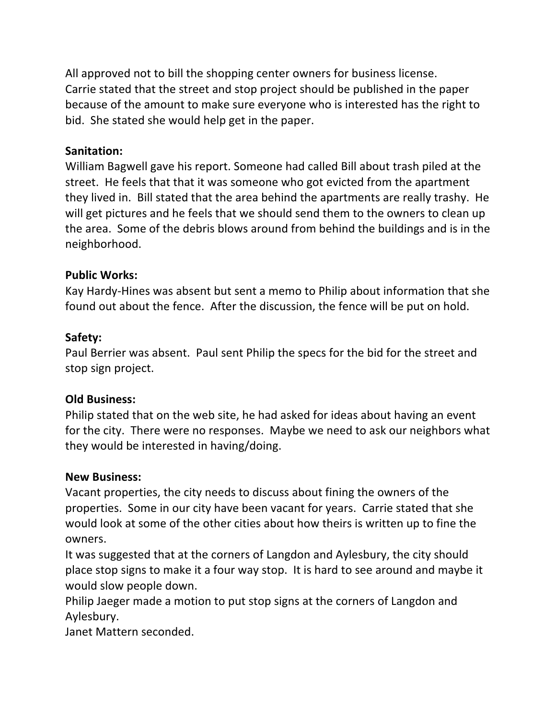All approved not to bill the shopping center owners for business license. Carrie stated that the street and stop project should be published in the paper because of the amount to make sure everyone who is interested has the right to bid. She stated she would help get in the paper.

### **Sanitation:**

William Bagwell gave his report. Someone had called Bill about trash piled at the street. He feels that that it was someone who got evicted from the apartment they lived in. Bill stated that the area behind the apartments are really trashy. He will get pictures and he feels that we should send them to the owners to clean up the area. Some of the debris blows around from behind the buildings and is in the neighborhood. 

### **Public Works:**

Kay Hardy-Hines was absent but sent a memo to Philip about information that she found out about the fence. After the discussion, the fence will be put on hold.

#### **Safety:**

Paul Berrier was absent. Paul sent Philip the specs for the bid for the street and stop sign project.

### **Old Business:**

Philip stated that on the web site, he had asked for ideas about having an event for the city. There were no responses. Maybe we need to ask our neighbors what they would be interested in having/doing.

#### **New Business:**

Vacant properties, the city needs to discuss about fining the owners of the properties. Some in our city have been vacant for years. Carrie stated that she would look at some of the other cities about how theirs is written up to fine the owners. 

It was suggested that at the corners of Langdon and Aylesbury, the city should place stop signs to make it a four way stop. It is hard to see around and maybe it would slow people down.

Philip Jaeger made a motion to put stop signs at the corners of Langdon and Aylesbury.

Janet Mattern seconded.